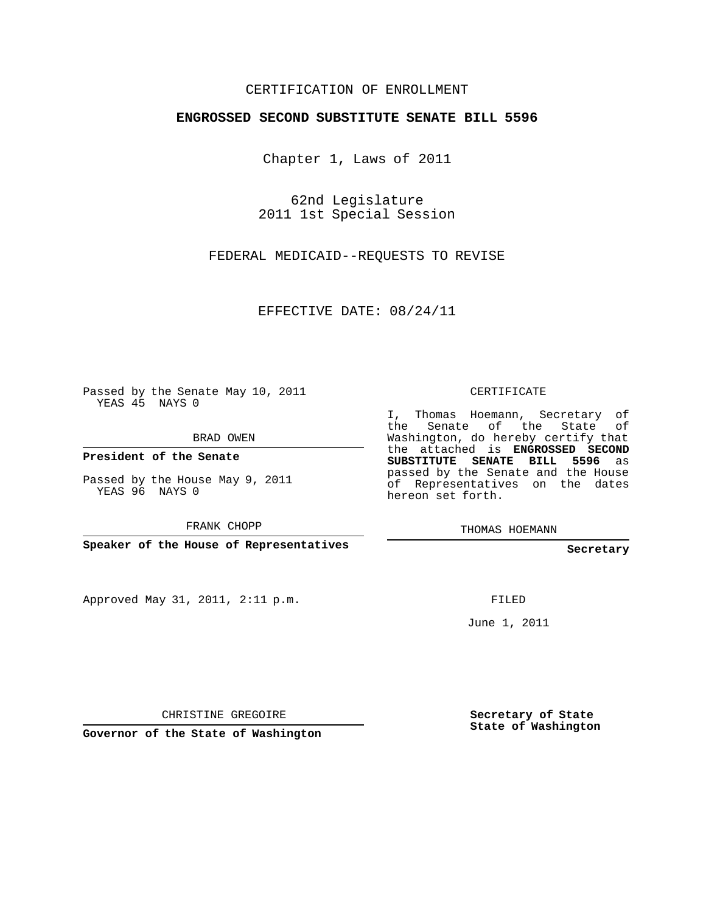## CERTIFICATION OF ENROLLMENT

## **ENGROSSED SECOND SUBSTITUTE SENATE BILL 5596**

Chapter 1, Laws of 2011

62nd Legislature 2011 1st Special Session

FEDERAL MEDICAID--REQUESTS TO REVISE

EFFECTIVE DATE: 08/24/11

Passed by the Senate May 10, 2011 YEAS 45 NAYS 0

BRAD OWEN

**President of the Senate**

Passed by the House May 9, 2011 YEAS 96 NAYS 0

FRANK CHOPP

**Speaker of the House of Representatives**

Approved May 31, 2011, 2:11 p.m.

CERTIFICATE

I, Thomas Hoemann, Secretary of the Senate of the State of Washington, do hereby certify that the attached is **ENGROSSED SECOND SUBSTITUTE SENATE BILL 5596** as passed by the Senate and the House of Representatives on the dates hereon set forth.

THOMAS HOEMANN

**Secretary**

FILED

June 1, 2011

CHRISTINE GREGOIRE

**Governor of the State of Washington**

**Secretary of State State of Washington**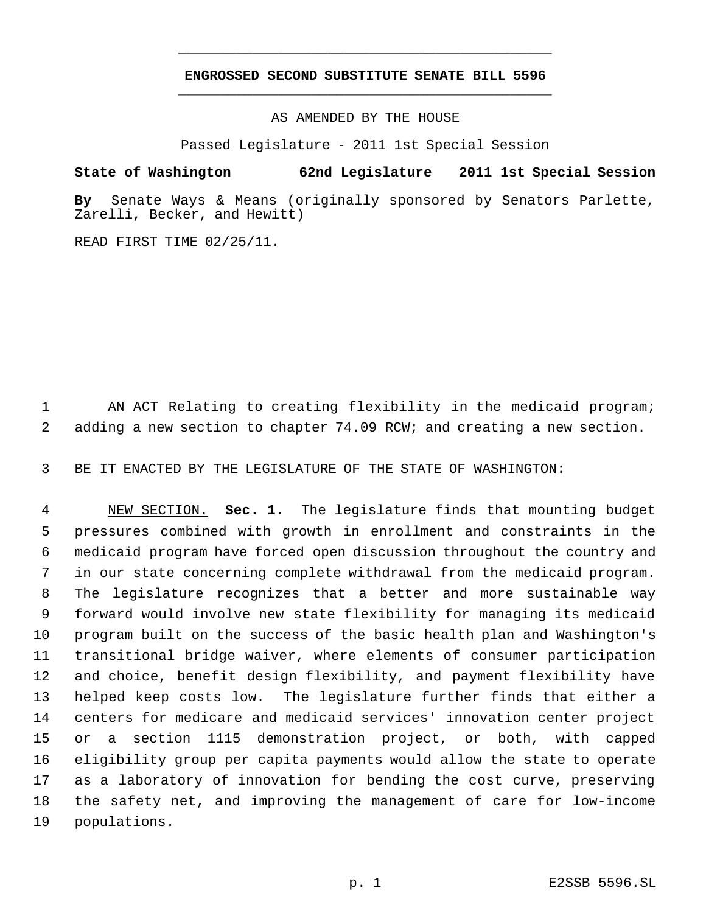## **ENGROSSED SECOND SUBSTITUTE SENATE BILL 5596** \_\_\_\_\_\_\_\_\_\_\_\_\_\_\_\_\_\_\_\_\_\_\_\_\_\_\_\_\_\_\_\_\_\_\_\_\_\_\_\_\_\_\_\_\_

\_\_\_\_\_\_\_\_\_\_\_\_\_\_\_\_\_\_\_\_\_\_\_\_\_\_\_\_\_\_\_\_\_\_\_\_\_\_\_\_\_\_\_\_\_

AS AMENDED BY THE HOUSE

Passed Legislature - 2011 1st Special Session

**State of Washington 62nd Legislature 2011 1st Special Session**

**By** Senate Ways & Means (originally sponsored by Senators Parlette, Zarelli, Becker, and Hewitt)

READ FIRST TIME 02/25/11.

 AN ACT Relating to creating flexibility in the medicaid program; adding a new section to chapter 74.09 RCW; and creating a new section.

BE IT ENACTED BY THE LEGISLATURE OF THE STATE OF WASHINGTON:

 NEW SECTION. **Sec. 1.** The legislature finds that mounting budget pressures combined with growth in enrollment and constraints in the medicaid program have forced open discussion throughout the country and in our state concerning complete withdrawal from the medicaid program. The legislature recognizes that a better and more sustainable way forward would involve new state flexibility for managing its medicaid program built on the success of the basic health plan and Washington's transitional bridge waiver, where elements of consumer participation and choice, benefit design flexibility, and payment flexibility have helped keep costs low. The legislature further finds that either a centers for medicare and medicaid services' innovation center project or a section 1115 demonstration project, or both, with capped eligibility group per capita payments would allow the state to operate as a laboratory of innovation for bending the cost curve, preserving the safety net, and improving the management of care for low-income populations.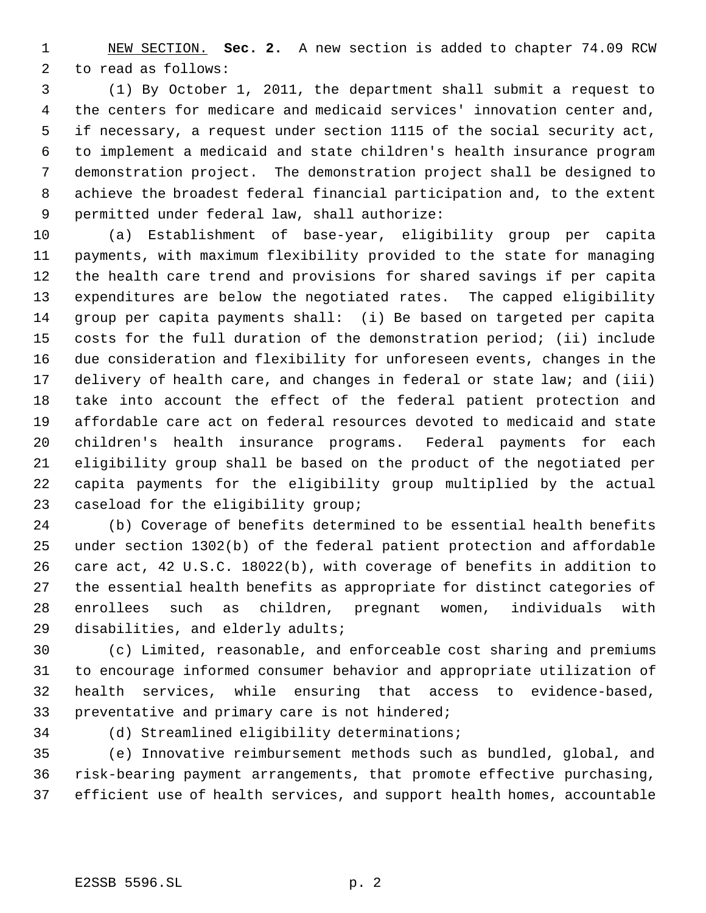NEW SECTION. **Sec. 2.** A new section is added to chapter 74.09 RCW to read as follows:

 (1) By October 1, 2011, the department shall submit a request to the centers for medicare and medicaid services' innovation center and, if necessary, a request under section 1115 of the social security act, to implement a medicaid and state children's health insurance program demonstration project. The demonstration project shall be designed to achieve the broadest federal financial participation and, to the extent permitted under federal law, shall authorize:

 (a) Establishment of base-year, eligibility group per capita payments, with maximum flexibility provided to the state for managing the health care trend and provisions for shared savings if per capita expenditures are below the negotiated rates. The capped eligibility group per capita payments shall: (i) Be based on targeted per capita costs for the full duration of the demonstration period; (ii) include due consideration and flexibility for unforeseen events, changes in the 17 delivery of health care, and changes in federal or state law; and (iii) take into account the effect of the federal patient protection and affordable care act on federal resources devoted to medicaid and state children's health insurance programs. Federal payments for each eligibility group shall be based on the product of the negotiated per capita payments for the eligibility group multiplied by the actual caseload for the eligibility group;

 (b) Coverage of benefits determined to be essential health benefits under section 1302(b) of the federal patient protection and affordable care act, 42 U.S.C. 18022(b), with coverage of benefits in addition to the essential health benefits as appropriate for distinct categories of enrollees such as children, pregnant women, individuals with disabilities, and elderly adults;

 (c) Limited, reasonable, and enforceable cost sharing and premiums to encourage informed consumer behavior and appropriate utilization of health services, while ensuring that access to evidence-based, preventative and primary care is not hindered;

(d) Streamlined eligibility determinations;

 (e) Innovative reimbursement methods such as bundled, global, and risk-bearing payment arrangements, that promote effective purchasing, efficient use of health services, and support health homes, accountable